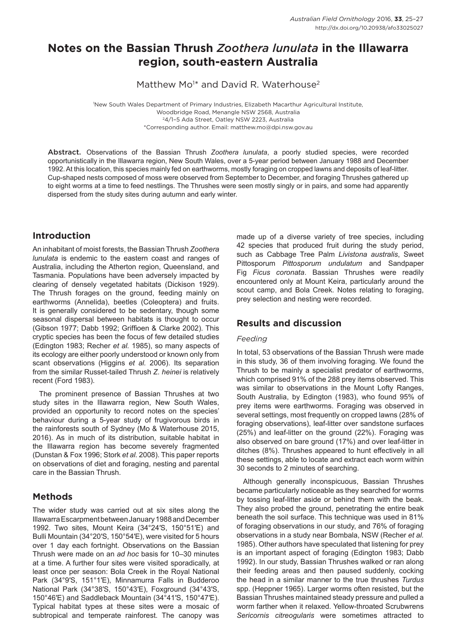# **Notes on the Bassian Thrush** *Zoothera lunulata* **in the Illawarra region, south-eastern Australia**

Matthew Mo<sup>1\*</sup> and David R. Waterhouse<sup>2</sup>

1 New South Wales Department of Primary Industries, Elizabeth Macarthur Agricultural Institute, Woodbridge Road, Menangle NSW 2568, Australia 24/1–5 Ada Street, Oatley NSW 2223, Australia \*Corresponding author. Email: matthew.mo@dpi.nsw.gov.au

Abstract. Observations of the Bassian Thrush *Zoothera lunulata*, a poorly studied species, were recorded opportunistically in the Illawarra region, New South Wales, over a 5-year period between January 1988 and December 1992. At this location, this species mainly fed on earthworms, mostly foraging on cropped lawns and deposits of leaf-litter. Cup-shaped nests composed of moss were observed from September to December, and foraging Thrushes gathered up to eight worms at a time to feed nestlings. The Thrushes were seen mostly singly or in pairs, and some had apparently dispersed from the study sites during autumn and early winter.

## **Introduction**

An inhabitant of moist forests, the Bassian Thrush *Zoothera lunulata* is endemic to the eastern coast and ranges of Australia, including the Atherton region, Queensland, and Tasmania. Populations have been adversely impacted by clearing of densely vegetated habitats (Dickison 1929). The Thrush forages on the ground, feeding mainly on earthworms (Annelida), beetles (Coleoptera) and fruits. It is generally considered to be sedentary, though some seasonal dispersal between habitats is thought to occur (Gibson 1977; Dabb 1992; Griffioen & Clarke 2002). This cryptic species has been the focus of few detailed studies (Edington 1983; Recher *et al.* 1985), so many aspects of its ecology are either poorly understood or known only from scant observations (Higgins *et al.* 2006). Its separation from the similar Russet-tailed Thrush *Z. heinei* is relatively recent (Ford 1983).

The prominent presence of Bassian Thrushes at two study sites in the Illawarra region, New South Wales, provided an opportunity to record notes on the species' behaviour during a 5-year study of frugivorous birds in the rainforests south of Sydney (Mo & Waterhouse 2015, 2016). As in much of its distribution, suitable habitat in the Illawarra region has become severely fragmented (Dunstan & Fox 1996; Stork *et al.* 2008). This paper reports on observations of diet and foraging, nesting and parental care in the Bassian Thrush.

## **Methods**

The wider study was carried out at six sites along the Illawarra Escarpment between January 1988 and December 1992. Two sites, Mount Keira (34°24′S, 150°51′E) and Bulli Mountain (34°20′S, 150°54′E), were visited for 5 hours over 1 day each fortnight. Observations on the Bassian Thrush were made on an *ad hoc* basis for 10–30 minutes at a time. A further four sites were visited sporadically, at least once per season: Bola Creek in the Royal National Park (34°9′S, 151°1′E), Minnamurra Falls in Budderoo National Park (34°38′S, 150°43′E), Foxground (34°43′S, 150°46′E) and Saddleback Mountain (34°41′S, 150°47′E). Typical habitat types at these sites were a mosaic of subtropical and temperate rainforest. The canopy was made up of a diverse variety of tree species, including 42 species that produced fruit during the study period, such as Cabbage Tree Palm *Livistona australis*, Sweet Pittosporum *Pittosporum undulatum* and Sandpaper Fig *Ficus coronata*. Bassian Thrushes were readily encountered only at Mount Keira, particularly around the scout camp, and Bola Creek. Notes relating to foraging, prey selection and nesting were recorded.

## **Results and discussion**

### *Feeding*

In total, 53 observations of the Bassian Thrush were made in this study, 36 of them involving foraging. We found the Thrush to be mainly a specialist predator of earthworms, which comprised 91% of the 288 prey items observed. This was similar to observations in the Mount Lofty Ranges, South Australia, by Edington (1983), who found 95% of prey items were earthworms. Foraging was observed in several settings, most frequently on cropped lawns (28% of foraging observations), leaf-litter over sandstone surfaces (25%) and leaf-litter on the ground (22%). Foraging was also observed on bare ground (17%) and over leaf-litter in ditches (8%). Thrushes appeared to hunt effectively in all these settings, able to locate and extract each worm within 30 seconds to 2 minutes of searching.

Although generally inconspicuous, Bassian Thrushes became particularly noticeable as they searched for worms by tossing leaf-litter aside or behind them with the beak. They also probed the ground, penetrating the entire beak beneath the soil surface. This technique was used in 81% of foraging observations in our study, and 76% of foraging observations in a study near Bombala, NSW (Recher *et al.*  1985). Other authors have speculated that listening for prey is an important aspect of foraging (Edington 1983; Dabb 1992). In our study, Bassian Thrushes walked or ran along their feeding areas and then paused suddenly, cocking the head in a similar manner to the true thrushes *Turdus*  spp. (Heppner 1965). Larger worms often resisted, but the Bassian Thrushes maintained steady pressure and pulled a worm farther when it relaxed. Yellow-throated Scrubwrens *Sericornis citreogularis* were sometimes attracted to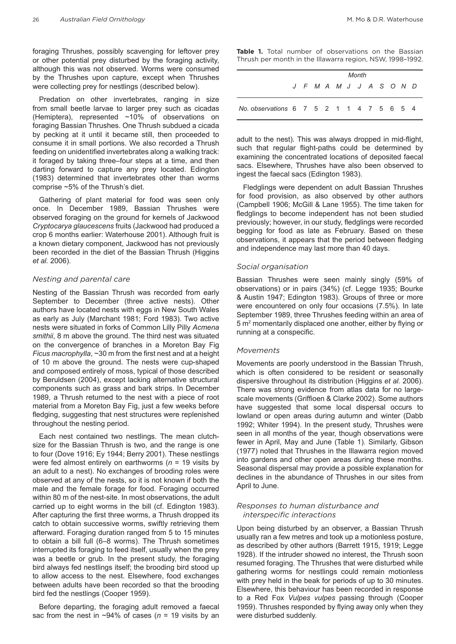foraging Thrushes, possibly scavenging for leftover prey or other potential prey disturbed by the foraging activity, although this was not observed. Worms were consumed by the Thrushes upon capture, except when Thrushes were collecting prey for nestlings (described below).

Predation on other invertebrates, ranging in size from small beetle larvae to larger prey such as cicadas (Hemiptera), represented ~10% of observations on foraging Bassian Thrushes. One Thrush subdued a cicada by pecking at it until it became still, then proceeded to consume it in small portions. We also recorded a Thrush feeding on unidentified invertebrates along a walking track: it foraged by taking three–four steps at a time, and then darting forward to capture any prey located. Edington (1983) determined that invertebrates other than worms comprise ~5% of the Thrush's diet.

Gathering of plant material for food was seen only once. In December 1989, Bassian Thrushes were observed foraging on the ground for kernels of Jackwood *Cryptocarya glaucescens* fruits (Jackwood had produced a crop 6 months earlier: Waterhouse 2001). Although fruit is a known dietary component, Jackwood has not previously been recorded in the diet of the Bassian Thrush (Higgins *et al.* 2006).

#### *Nesting and parental care*

Nesting of the Bassian Thrush was recorded from early September to December (three active nests). Other authors have located nests with eggs in New South Wales as early as July (Marchant 1981; Ford 1983). Two active nests were situated in forks of Common Lilly Pilly *Acmena smithii*, 8 m above the ground. The third nest was situated on the convergence of branches in a Moreton Bay Fig *Ficus macrophylla*, ~30 m from the first nest and at a height of 10 m above the ground. The nests were cup-shaped and composed entirely of moss, typical of those described by Beruldsen (2004), except lacking alternative structural components such as grass and bark strips. In December 1989, a Thrush returned to the nest with a piece of root material from a Moreton Bay Fig, just a few weeks before fledging, suggesting that nest structures were replenished throughout the nesting period.

Each nest contained two nestlings. The mean clutchsize for the Bassian Thrush is two, and the range is one to four (Dove 1916; Ey 1944; Berry 2001). These nestlings were fed almost entirely on earthworms (*n* = 19 visits by an adult to a nest). No exchanges of brooding roles were observed at any of the nests, so it is not known if both the male and the female forage for food. Foraging occurred within 80 m of the nest-site. In most observations, the adult carried up to eight worms in the bill (cf. Edington 1983). After capturing the first three worms, a Thrush dropped its catch to obtain successive worms, swiftly retrieving them afterward. Foraging duration ranged from 5 to 15 minutes to obtain a bill full (6–8 worms). The Thrush sometimes interrupted its foraging to feed itself, usually when the prey was a beetle or grub. In the present study, the foraging bird always fed nestlings itself; the brooding bird stood up to allow access to the nest. Elsewhere, food exchanges between adults have been recorded so that the brooding bird fed the nestlings (Cooper 1959).

Before departing, the foraging adult removed a faecal sac from the nest in ~94% of cases (*n* = 19 visits by an **Table 1.** Total number of observations on the Bassian Thrush per month in the Illawarra region, NSW, 1998–1992.

|                                          | Month |  |  |  |                         |  |  |  |  |  |  |  |
|------------------------------------------|-------|--|--|--|-------------------------|--|--|--|--|--|--|--|
|                                          |       |  |  |  | J F M A M J J A S O N D |  |  |  |  |  |  |  |
| No. observations 6 7 5 2 1 1 4 7 5 6 5 4 |       |  |  |  |                         |  |  |  |  |  |  |  |

adult to the nest). This was always dropped in mid-flight, such that regular flight-paths could be determined by examining the concentrated locations of deposited faecal sacs. Elsewhere, Thrushes have also been observed to ingest the faecal sacs (Edington 1983).

Fledglings were dependent on adult Bassian Thrushes for food provision, as also observed by other authors (Campbell 1906; McGill & Lane 1955). The time taken for fledglings to become independent has not been studied previously; however, in our study, fledglings were recorded begging for food as late as February. Based on these observations, it appears that the period between fledging and independence may last more than 40 days.

#### *Social organisation*

Bassian Thrushes were seen mainly singly (59% of observations) or in pairs (34%) (cf. Legge 1935; Bourke & Austin 1947; Edington 1983). Groups of three or more were encountered on only four occasions (7.5%). In late September 1989, three Thrushes feeding within an area of 5 m2 momentarily displaced one another, either by flying or running at a conspecific.

#### *Movements*

Movements are poorly understood in the Bassian Thrush, which is often considered to be resident or seasonally dispersive throughout its distribution (Higgins *et al.* 2006). There was strong evidence from atlas data for no largescale movements (Griffioen & Clarke 2002). Some authors have suggested that some local dispersal occurs to lowland or open areas during autumn and winter (Dabb 1992; Whiter 1994). In the present study, Thrushes were seen in all months of the year, though observations were fewer in April, May and June (Table 1). Similarly, Gibson (1977) noted that Thrushes in the Illawarra region moved into gardens and other open areas during these months. Seasonal dispersal may provide a possible explanation for declines in the abundance of Thrushes in our sites from April to June.

#### *Responses to human disturbance and interspecific interactions*

Upon being disturbed by an observer, a Bassian Thrush usually ran a few metres and took up a motionless posture, as described by other authors (Barrett 1915, 1919; Legge 1928). If the intruder showed no interest, the Thrush soon resumed foraging. The Thrushes that were disturbed while gathering worms for nestlings could remain motionless with prey held in the beak for periods of up to 30 minutes. Elsewhere, this behaviour has been recorded in response to a Red Fox *Vulpes vulpes* passing through (Cooper 1959). Thrushes responded by flying away only when they were disturbed suddenly.